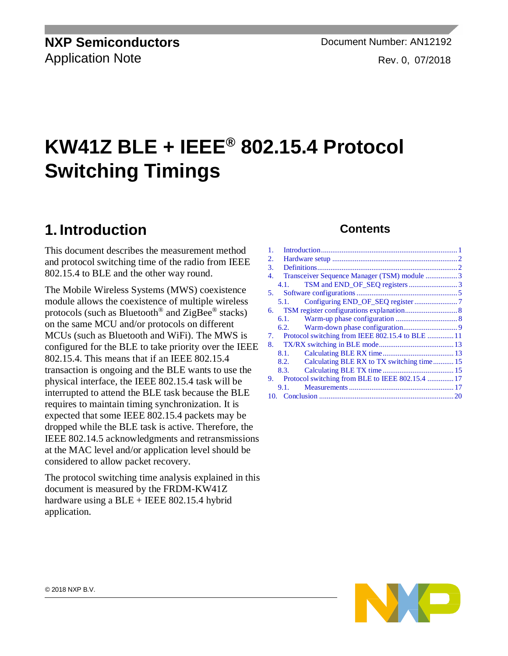**NXP Semiconductors Document Number: AN12192** Application Note **Rev. 0, 07/2018** 

# **KW41Z BLE + IEEE® 802.15.4 Protocol Switching Timings**

## <span id="page-0-0"></span>**1. Introduction**

This document describes the measurement method and protocol switching time of the radio from IEEE 802.15.4 to BLE and the other way round.

The Mobile Wireless Systems (MWS) coexistence module allows the coexistence of multiple wireless protocols (such as Bluetooth<sup>®</sup> and ZigBee<sup>®</sup> stacks) on the same MCU and/or protocols on different MCUs (such as Bluetooth and WiFi). The MWS is configured for the BLE to take priority over the IEEE 802.15.4. This means that if an IEEE 802.15.4 transaction is ongoing and the BLE wants to use the physical interface, the IEEE 802.15.4 task will be interrupted to attend the BLE task because the BLE requires to maintain timing synchronization. It is expected that some IEEE 802.15.4 packets may be dropped while the BLE task is active. Therefore, the IEEE 802.14.5 acknowledgments and retransmissions at the MAC level and/or application level should be considered to allow packet recovery.

The protocol switching time analysis explained in this document is measured by the FRDM-KW41Z hardware using a  $BLE + IEEE 802.15.4$  hybrid application.

#### **Contents**

| 1. |                                                     |  |
|----|-----------------------------------------------------|--|
| 2. |                                                     |  |
| 3. |                                                     |  |
| 4. | Transceiver Sequence Manager (TSM) module 3         |  |
|    | 4.1.                                                |  |
| 5. |                                                     |  |
|    | 5.1.                                                |  |
|    |                                                     |  |
|    | 6.1.                                                |  |
|    |                                                     |  |
| 7. | Protocol switching from IEEE 802.15.4 to BLE  11    |  |
|    |                                                     |  |
|    | 8.1.                                                |  |
|    | 8.2.                                                |  |
|    | 8.3.                                                |  |
|    | 9. Protocol switching from BLE to IEEE 802.15.4  17 |  |
|    | 9.1.                                                |  |
|    |                                                     |  |

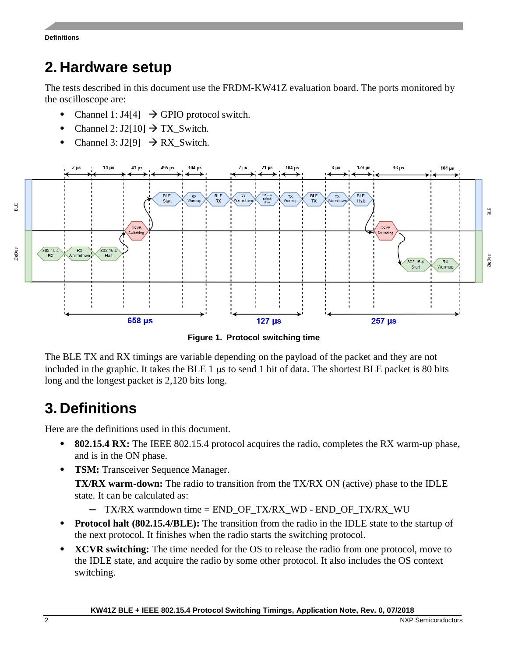## <span id="page-1-0"></span>**2. Hardware setup**

The tests described in this document use the FRDM-KW41Z evaluation board. The ports monitored by the oscilloscope are:

- Channel 1:  $J4[4] \rightarrow GPIO$  protocol switch.
- Channel 2:  $J2[10] \rightarrow TX$  Switch.
- Channel 3: J2[9]  $\rightarrow$  RX\_Switch.



**Figure 1. Protocol switching time**

The BLE TX and RX timings are variable depending on the payload of the packet and they are not included in the graphic. It takes the BLE  $1 \mu s$  to send  $1 \mu s$  of data. The shortest BLE packet is 80 bits long and the longest packet is 2,120 bits long.

## <span id="page-1-1"></span>**3. Definitions**

Here are the definitions used in this document.

- **802.15.4 RX:** The IEEE 802.15.4 protocol acquires the radio, completes the RX warm-up phase, and is in the ON phase.
- **TSM:** Transceiver Sequence Manager.

**TX/RX warm-down:** The radio to transition from the TX/RX ON (active) phase to the IDLE state. It can be calculated as:

- **—** TX/RX warmdown time = END\_OF\_TX/RX\_WD END\_OF\_TX/RX\_WU
- **Protocol halt (802.15.4/BLE):** The transition from the radio in the IDLE state to the startup of the next protocol. It finishes when the radio starts the switching protocol.
- **XCVR switching:** The time needed for the OS to release the radio from one protocol, move to the IDLE state, and acquire the radio by some other protocol. It also includes the OS context switching.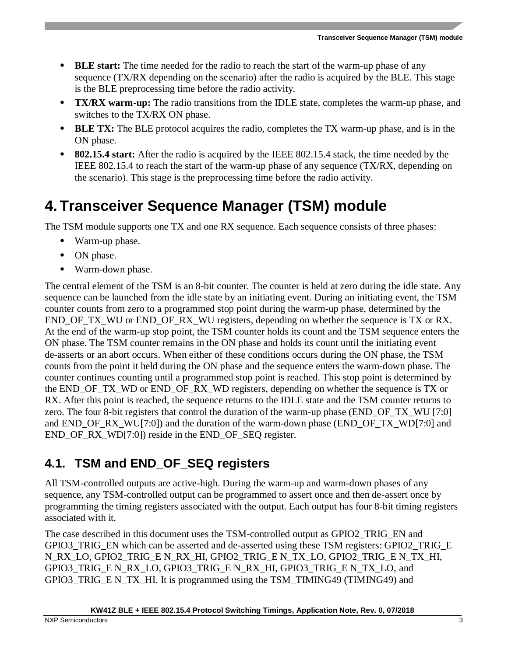- **BLE start:** The time needed for the radio to reach the start of the warm-up phase of any sequence (TX/RX depending on the scenario) after the radio is acquired by the BLE. This stage is the BLE preprocessing time before the radio activity.
- **TX/RX warm-up:** The radio transitions from the IDLE state, completes the warm-up phase, and switches to the TX/RX ON phase.
- **BLE TX:** The BLE protocol acquires the radio, completes the TX warm-up phase, and is in the ON phase.
- **802.15.4 start:** After the radio is acquired by the IEEE 802.15.4 stack, the time needed by the IEEE 802.15.4 to reach the start of the warm-up phase of any sequence (TX/RX, depending on the scenario). This stage is the preprocessing time before the radio activity.

## <span id="page-2-0"></span>**4. Transceiver Sequence Manager (TSM) module**

The TSM module supports one TX and one RX sequence. Each sequence consists of three phases:

- Warm-up phase.
- ON phase.
- Warm-down phase.

The central element of the TSM is an 8-bit counter. The counter is held at zero during the idle state. Any sequence can be launched from the idle state by an initiating event. During an initiating event, the TSM counter counts from zero to a programmed stop point during the warm-up phase, determined by the END OF TX WU or END OF RX WU registers, depending on whether the sequence is TX or RX. At the end of the warm-up stop point, the TSM counter holds its count and the TSM sequence enters the ON phase. The TSM counter remains in the ON phase and holds its count until the initiating event de-asserts or an abort occurs. When either of these conditions occurs during the ON phase, the TSM counts from the point it held during the ON phase and the sequence enters the warm-down phase. The counter continues counting until a programmed stop point is reached. This stop point is determined by the END\_OF\_TX\_WD or END\_OF\_RX\_WD registers, depending on whether the sequence is TX or RX. After this point is reached, the sequence returns to the IDLE state and the TSM counter returns to zero. The four 8-bit registers that control the duration of the warm-up phase (END\_OF\_TX\_WU [7:0] and END\_OF\_RX\_WU[7:0]) and the duration of the warm-down phase (END\_OF\_TX\_WD[7:0] and END\_OF\_RX\_WD[7:0]) reside in the END\_OF\_SEQ register.

## <span id="page-2-1"></span>**4.1. TSM and END\_OF\_SEQ registers**

All TSM-controlled outputs are active-high. During the warm-up and warm-down phases of any sequence, any TSM-controlled output can be programmed to assert once and then de-assert once by programming the timing registers associated with the output. Each output has four 8-bit timing registers associated with it.

The case described in this document uses the TSM-controlled output as GPIO2\_TRIG\_EN and GPIO3\_TRIG\_EN which can be asserted and de-asserted using these TSM registers: GPIO2\_TRIG\_E N\_RX\_LO, GPIO2\_TRIG\_E N\_RX\_HI, GPIO2\_TRIG\_E N\_TX\_LO, GPIO2\_TRIG\_E N\_TX\_HI, GPIO3\_TRIG\_E N\_RX\_LO, GPIO3\_TRIG\_E N\_RX\_HI, GPIO3\_TRIG\_E N\_TX\_LO, and GPIO3\_TRIG\_E N\_TX\_HI. It is programmed using the TSM\_TIMING49 (TIMING49) and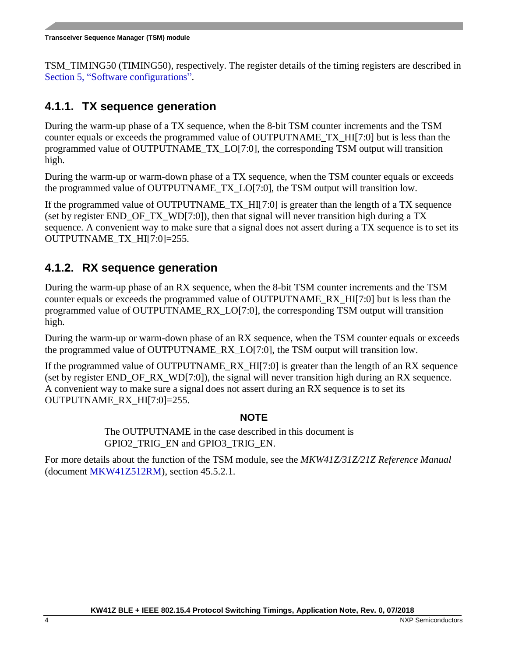TSM\_TIMING50 (TIMING50), respectively. The register details of the timing registers are described in Section [5,](#page-4-0) ["Software configurations"](#page-4-0).

#### <span id="page-3-0"></span>**4.1.1. TX sequence generation**

During the warm-up phase of a TX sequence, when the 8-bit TSM counter increments and the TSM counter equals or exceeds the programmed value of OUTPUTNAME\_TX\_HI[7:0] but is less than the programmed value of OUTPUTNAME\_TX\_LO[7:0], the corresponding TSM output will transition high.

During the warm-up or warm-down phase of a TX sequence, when the TSM counter equals or exceeds the programmed value of OUTPUTNAME\_TX\_LO[7:0], the TSM output will transition low.

If the programmed value of OUTPUTNAME\_TX\_HI[7:0] is greater than the length of a TX sequence (set by register END OF TX WD[7:0]), then that signal will never transition high during a TX sequence. A convenient way to make sure that a signal does not assert during a TX sequence is to set its OUTPUTNAME\_TX\_HI[7:0]=255.

### <span id="page-3-1"></span>**4.1.2. RX sequence generation**

During the warm-up phase of an RX sequence, when the 8-bit TSM counter increments and the TSM counter equals or exceeds the programmed value of OUTPUTNAME\_RX\_HI[7:0] but is less than the programmed value of OUTPUTNAME\_RX\_LO[7:0], the corresponding TSM output will transition high.

During the warm-up or warm-down phase of an RX sequence, when the TSM counter equals or exceeds the programmed value of OUTPUTNAME\_RX\_LO[7:0], the TSM output will transition low.

If the programmed value of OUTPUTNAME\_RX\_HI[7:0] is greater than the length of an RX sequence (set by register END OF RX WD[7:0]), the signal will never transition high during an RX sequence. A convenient way to make sure a signal does not assert during an RX sequence is to set its OUTPUTNAME\_RX\_HI[7:0]=255.

#### **NOTE**

The OUTPUTNAME in the case described in this document is GPIO2\_TRIG\_EN and GPIO3\_TRIG\_EN.

For more details about the function of the TSM module, see the *MKW41Z/31Z/21Z Reference Manual* (document [MKW41Z512RM\)](http://www.nxp.com/doc/MKW41Z512RM), section 45.5.2.1.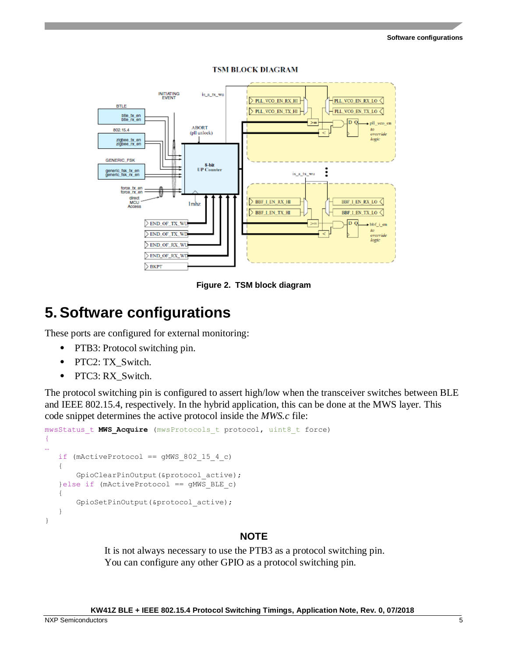

**TSM BLOCK DIAGRAM** 

**Figure 2. TSM block diagram**

## <span id="page-4-0"></span>**5.Software configurations**

These ports are configured for external monitoring:

- PTB3: Protocol switching pin.
- PTC2: TX\_Switch.
- PTC3: RX\_Switch.

The protocol switching pin is configured to assert high/low when the transceiver switches between BLE and IEEE 802.15.4, respectively. In the hybrid application, this can be done at the MWS layer. This code snippet determines the active protocol inside the *MWS.c* file:

```
mwsStatus_t MWS_Acquire (mwsProtocols_t protocol, uint8_t force)
{
…
   if (mActiveProtocol == gMWS 802 15 4 c)
    {
        GpioClearPinOutput(&protocol_active);
    }else if (mActiveProtocol == gMWS_BLE_c)
    {
        GpioSetPinOutput(&protocol_active);
 }
}
```
#### **NOTE**

It is not always necessary to use the PTB3 as a protocol switching pin. You can configure any other GPIO as a protocol switching pin.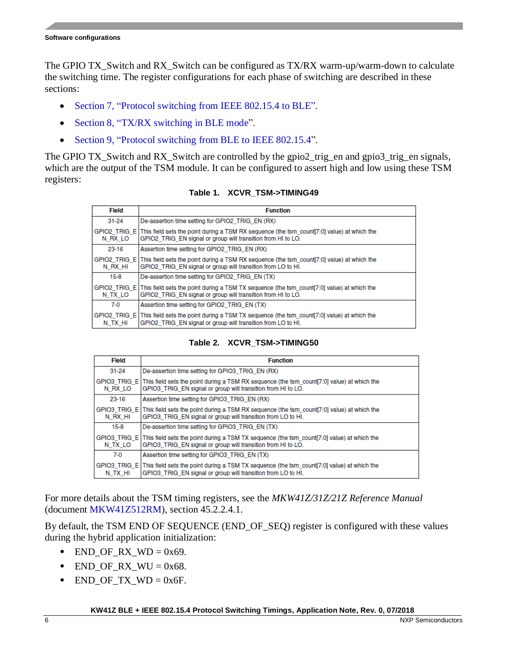The GPIO TX\_Switch and RX\_Switch can be configured as TX/RX warm-up/warm-down to calculate the switching time. The register configurations for each phase of switching are described in these sections:

- Section [7,](#page-10-0) "Protocol [switching from IEEE 802.15.4](#page-10-0) to BLE".
- Section [8,](#page-12-0) ["TX/RX switching](#page-12-0) in BLE mode".
- Section [9,](#page-16-0) "Protocol switching [from BLE to IEEE 802.15.4"](#page-16-0).

The GPIO TX Switch and RX Switch are controlled by the gpio2 trig en and gpio3 trig en signals, which are the output of the TSM module. It can be configured to assert high and low using these TSM registers:

| Field     | <b>Function</b>                                                                                                                                                         |
|-----------|-------------------------------------------------------------------------------------------------------------------------------------------------------------------------|
| $31 - 24$ | De-assertion time setting for GPIO2 TRIG EN (RX)                                                                                                                        |
| N RX LO   | GPIO2 TRIG E This field sets the point during a TSM RX sequence (the tsm count[7:0] value) at which the<br>GPIO2 TRIG EN signal or group will transition from HI to LO. |
| 23-16     | Assertion time setting for GPIO2 TRIG EN (RX)                                                                                                                           |
| N RX HI   | GPIO2 TRIG E This field sets the point during a TSM RX sequence (the tsm count[7:0] value) at which the<br>GPIO2 TRIG EN signal or group will transition from LO to HI. |
| $15-8$    | De-assertion time setting for GPIO2 TRIG EN (TX)                                                                                                                        |
| N TX LO   | GPIO2 TRIG E This field sets the point during a TSM TX sequence (the tsm count[7:0] value) at which the<br>GPIO2 TRIG EN signal or group will transition from HI to LO. |
| $7-0$     | Assertion time setting for GPIO2 TRIG EN (TX)                                                                                                                           |
| N TX HI   | GPIO2 TRIG E This field sets the point during a TSM TX sequence (the tsm count[7:0] value) at which the<br>GPIO2 TRIG EN signal or group will transition from LO to HI. |

**Table 1. XCVR\_TSM->TIMING49**

#### **Table 2. XCVR\_TSM->TIMING50**

| Field                   | <b>Function</b>                                                                                                                                                          |
|-------------------------|--------------------------------------------------------------------------------------------------------------------------------------------------------------------------|
| $31 - 24$               | De-assertion time setting for GPIO3 TRIG EN (RX)                                                                                                                         |
| GPIO3 TRIG E<br>N RX LO | This field sets the point during a TSM RX sequence (the tsm count [7:0] value) at which the<br>GPIO3 TRIG EN signal or group will transition from HI to LO.              |
| 23-16                   | Assertion time setting for GPIO3 TRIG EN (RX)                                                                                                                            |
| N RX HI                 | GPIO3 TRIG E This field sets the point during a TSM RX sequence (the tsm count[7:0] value) at which the<br>GPIO3 TRIG EN signal or group will transition from LO to HI.  |
| 15-8                    | De-assertion time setting for GPIO3 TRIG EN (TX)                                                                                                                         |
| N TX LO                 | GPIO3 TRIG E This field sets the point during a TSM TX sequence (the tsm count[7:0] value) at which the<br>GPIO3 TRIG EN signal or group will transition from HI to LO.  |
| $7-0$                   | Assertion time setting for GPIO3 TRIG EN (TX)                                                                                                                            |
| N TX HI                 | GPIO3 TRIG E This field sets the point during a TSM TX sequence (the tsm count [7:0] value) at which the<br>GPIO3 TRIG EN signal or group will transition from LO to HI. |

For more details about the TSM timing registers, see the *MKW41Z/31Z/21Z Reference Manual* (document [MKW41Z512RM\)](http://www.nxp.com/doc/MKW41Z512RM), section 45.2.2.4.1.

By default, the TSM END OF SEQUENCE (END\_OF\_SEQ) register is configured with these values during the hybrid application initialization:

- $END_OF_RX_WD = 0x69$ .
- $END\_OF_RX_WW = 0x68$ .
- END\_OF\_TX\_WD =  $0x6F$ .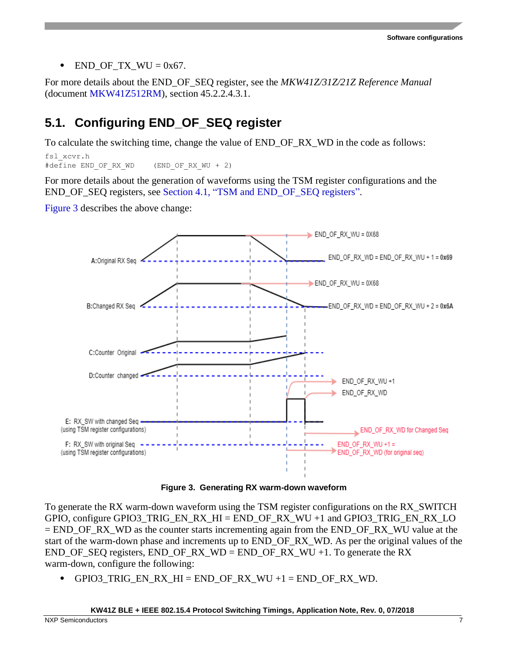• END OF TX WU =  $0x67$ .

For more details about the END\_OF\_SEQ register, see the *MKW41Z/31Z/21Z Reference Manual* (document [MKW41Z512RM\)](http://www.nxp.com/doc/MKW41Z512RM), section 45.2.2.4.3.1.

## <span id="page-6-0"></span>**5.1. Configuring END\_OF\_SEQ register**

To calculate the switching time, change the value of END\_OF\_RX\_WD in the code as follows:

fsl\_xcvr.h #define END OF RX WD (END OF RX WU + 2)

For more details about the generation of waveforms using the TSM register configurations and the END\_OF\_SEQ registers, see Section [4.1,](#page-2-1) ["TSM and END\\_OF\\_SEQ registers"](#page-2-1).

[Figure 3](#page-6-1) describes the above change:



**Figure 3. Generating RX warm-down waveform**

<span id="page-6-1"></span>To generate the RX warm-down waveform using the TSM register configurations on the RX\_SWITCH GPIO, configure GPIO3\_TRIG\_EN\_RX\_HI = END\_OF\_RX\_WU +1 and GPIO3\_TRIG\_EN\_RX\_LO  $=$  END\_OF\_RX\_WD as the counter starts incrementing again from the END\_OF\_RX\_WU value at the start of the warm-down phase and increments up to END\_OF\_RX\_WD. As per the original values of the END\_OF\_SEQ registers, END\_OF\_RX\_WD = END\_OF\_RX\_WU +1. To generate the RX warm-down, configure the following:

 $GPIO3_TRIO_EN_RX_HI = END_OF_RX_WU +1 = END_OF_RX_WD$ .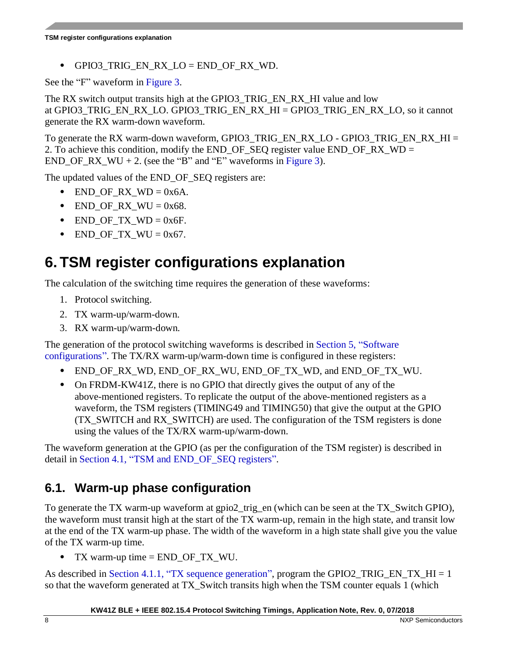• GPIO3 TRIG EN RX LO = END OF RX WD.

See the "F" waveform in [Figure 3.](#page-6-1)

The RX switch output transits high at the GPIO3\_TRIG\_EN\_RX\_HI value and low at GPIO3\_TRIG\_EN\_RX\_LO. GPIO3\_TRIG\_EN\_RX\_HI = GPIO3\_TRIG\_EN\_RX\_LO, so it cannot generate the RX warm-down waveform.

To generate the RX warm-down waveform, GPIO3\_TRIG\_EN\_RX\_LO - GPIO3\_TRIG\_EN\_RX\_HI = 2. To achieve this condition, modify the END\_OF\_SEQ register value END\_OF\_RX\_WD = END OF RX WU + 2. (see the "B" and "E" waveforms in [Figure 3\)](#page-6-1).

The updated values of the END\_OF\_SEQ registers are:

- END OF RX  $WD = 0x6A$ .
- END OF RX WU =  $0x68$ .
- END OF TX  $WD = 0x6F$ .
- $END\_OF_TX_WW = 0x67$ .

## <span id="page-7-0"></span>**6. TSM register configurations explanation**

The calculation of the switching time requires the generation of these waveforms:

- 1. Protocol switching.
- 2. TX warm-up/warm-down.
- 3. RX warm-up/warm-down.

The generation of the protocol switching waveforms is described in Section [5,](#page-4-0) ["Software](#page-4-0)  [configurations"](#page-4-0). The TX/RX warm-up/warm-down time is configured in these registers:

- END\_OF\_RX\_WD, END\_OF\_RX\_WU, END\_OF\_TX\_WD, and END\_OF\_TX\_WU.
- On FRDM-KW41Z, there is no GPIO that directly gives the output of any of the above-mentioned registers. To replicate the output of the above-mentioned registers as a waveform, the TSM registers (TIMING49 and TIMING50) that give the output at the GPIO (TX\_SWITCH and RX\_SWITCH) are used. The configuration of the TSM registers is done using the values of the TX/RX warm-up/warm-down.

The waveform generation at the GPIO (as per the configuration of the TSM register) is described in detail in Section [4.1,](#page-2-1) ["TSM and END\\_OF\\_SEQ registers"](#page-2-1).

## <span id="page-7-1"></span>**6.1. Warm-up phase configuration**

To generate the TX warm-up waveform at gpio2\_trig\_en (which can be seen at the TX\_Switch GPIO), the waveform must transit high at the start of the TX warm-up, remain in the high state, and transit low at the end of the TX warm-up phase. The width of the waveform in a high state shall give you the value of the TX warm-up time.

• TX warm-up time  $=$  END OF TX WU.

As described in Section [4.1.1,](#page-3-0) ["TX sequence generation"](#page-3-0), program the GPIO2\_TRIG\_EN\_TX\_HI = 1 so that the waveform generated at TX\_Switch transits high when the TSM counter equals 1 (which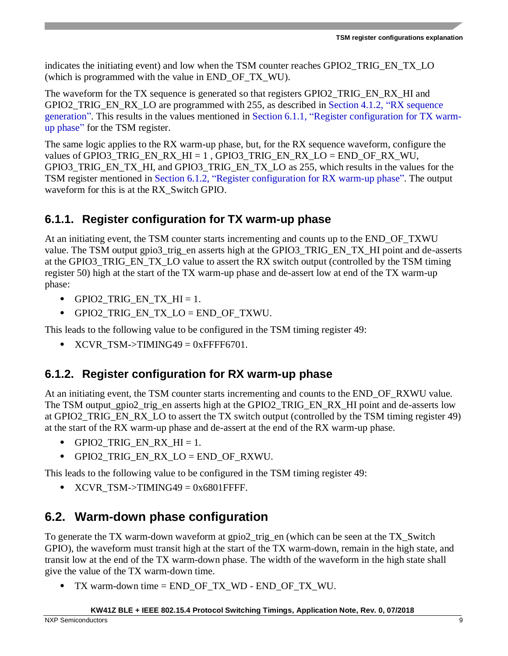indicates the initiating event) and low when the TSM counter reaches GPIO2 TRIG EN TX LO (which is programmed with the value in END\_OF\_TX\_WU).

The waveform for the TX sequence is generated so that registers GPIO2 TRIG EN RX. HI and GPIO2\_TRIG\_EN\_RX\_LO are programmed with 255, as described in Section [4.1.2,](#page-3-1) ["RX sequence](#page-3-1)  [generation"](#page-3-1). This results in the values mentioned in Section [6.1.1,](#page-8-1) ["Register configuration for TX warm](#page-8-1)[up phase"](#page-8-1) for the TSM register.

The same logic applies to the RX warm-up phase, but, for the RX sequence waveform, configure the values of GPIO3\_TRIG\_EN\_RX\_HI = 1, GPIO3\_TRIG\_EN\_RX\_LO = END\_OF\_RX\_WU, GPIO3\_TRIG\_EN\_TX\_HI, and GPIO3\_TRIG\_EN\_TX\_LO as 255, which results in the values for the TSM register mentioned in Section [6.1.2,](#page-8-2) ["Register configuration for RX warm-up phase"](#page-8-2). The output waveform for this is at the RX Switch GPIO.

#### <span id="page-8-1"></span>**6.1.1. Register configuration for TX warm-up phase**

At an initiating event, the TSM counter starts incrementing and counts up to the END\_OF\_TXWU value. The TSM output gpio3\_trig\_en asserts high at the GPIO3\_TRIG\_EN\_TX\_HI point and de-asserts at the GPIO3 TRIG EN TX LO value to assert the RX switch output (controlled by the TSM timing register 50) high at the start of the TX warm-up phase and de-assert low at end of the TX warm-up phase:

- GPIO2 TRIG EN TX  $HI = 1$ .
- GPIO2\_TRIG\_EN\_TX\_LO = END\_OF\_TXWU.

This leads to the following value to be configured in the TSM timing register 49:

• XCVR TSM->TIMING49 =  $0x$ FFFF6701.

### <span id="page-8-2"></span>**6.1.2. Register configuration for RX warm-up phase**

At an initiating event, the TSM counter starts incrementing and counts to the END OF RXWU value. The TSM output\_gpio2\_trig\_en asserts high at the GPIO2\_TRIG\_EN\_RX\_HI point and de-asserts low at GPIO2\_TRIG\_EN\_RX\_LO to assert the TX switch output (controlled by the TSM timing register 49) at the start of the RX warm-up phase and de-assert at the end of the RX warm-up phase.

- GPIO2\_TRIG\_EN\_RX\_HI = 1.
- GPIO2 TRIG EN RX  $LO = END$  OF RXWU.

This leads to the following value to be configured in the TSM timing register 49:

•  $XCVR_TSM \rightarrow TIMING49 = 0x6801$  FFFF.

## <span id="page-8-0"></span>**6.2. Warm-down phase configuration**

To generate the TX warm-down waveform at gpio2\_trig\_en (which can be seen at the TX\_Switch GPIO), the waveform must transit high at the start of the TX warm-down, remain in the high state, and transit low at the end of the TX warm-down phase. The width of the waveform in the high state shall give the value of the TX warm-down time.

• TX warm-down time = END\_OF\_TX\_WD - END\_OF\_TX\_WU.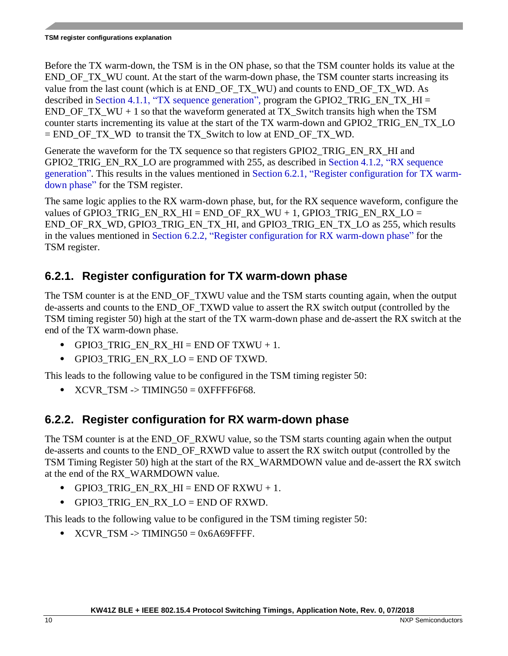Before the TX warm-down, the TSM is in the ON phase, so that the TSM counter holds its value at the END\_OF\_TX\_WU count. At the start of the warm-down phase, the TSM counter starts increasing its value from the last count (which is at END\_OF\_TX\_WU) and counts to END\_OF\_TX\_WD. As described in Section [4.1.1,](#page-3-0) ["TX sequence generation"](#page-3-0), program the GPIO2\_TRIG\_EN\_TX\_HI =  $END_OF_TX_WW + 1$  so that the waveform generated at TX\_Switch transits high when the TSM counter starts incrementing its value at the start of the TX warm-down and GPIO2\_TRIG\_EN\_TX\_LO  $=$  END OF TX WD to transit the TX Switch to low at END OF TX WD.

Generate the waveform for the TX sequence so that registers GPIO2\_TRIG\_EN\_RX\_HI and GPIO2\_TRIG\_EN\_RX\_LO are programmed with 255, as described in Section [4.1.2,](#page-3-1) "RX sequence [generation"](#page-3-1). This results in the values mentioned in Section [6.2.1,](#page-9-0) ["Register configuration for TX warm](#page-9-0)[down phase"](#page-9-0) for the TSM register.

The same logic applies to the RX warm-down phase, but, for the RX sequence waveform, configure the values of GPIO3 TRIG\_EN\_RX\_HI = END\_OF\_RX\_WU + 1, GPIO3\_TRIG\_EN\_RX\_LO = END\_OF\_RX\_WD, GPIO3\_TRIG\_EN\_TX\_HI, and GPIO3\_TRIG\_EN\_TX\_LO as 255, which results in the values mentioned in Section [6.2.2,](#page-9-1) ["Register configuration for RX warm-down phase"](#page-9-1) for the TSM register.

### <span id="page-9-0"></span>**6.2.1. Register configuration for TX warm-down phase**

The TSM counter is at the END\_OF\_TXWU value and the TSM starts counting again, when the output de-asserts and counts to the END\_OF\_TXWD value to assert the RX switch output (controlled by the TSM timing register 50) high at the start of the TX warm-down phase and de-assert the RX switch at the end of the TX warm-down phase.

- GPIO3 TRIG EN RX HI = END OF TXWU + 1.
- GPIO3\_TRIG\_EN\_RX\_LO = END OF TXWD.

This leads to the following value to be configured in the TSM timing register 50:

•  $XCVR_TSM \rightarrow TIMING50 = 0XFFFF6F68.$ 

### <span id="page-9-1"></span>**6.2.2. Register configuration for RX warm-down phase**

The TSM counter is at the END OF RXWU value, so the TSM starts counting again when the output de-asserts and counts to the END\_OF\_RXWD value to assert the RX switch output (controlled by the TSM Timing Register 50) high at the start of the RX\_WARMDOWN value and de-assert the RX switch at the end of the RX\_WARMDOWN value.

- GPIO3 TRIG EN RX  $HI = END$  OF RXWU + 1.
- GPIO3 TRIG EN RX LO = END OF RXWD.

This leads to the following value to be configured in the TSM timing register 50:

• XCVR TSM -> TIMING50 = 0x6A69FFFF.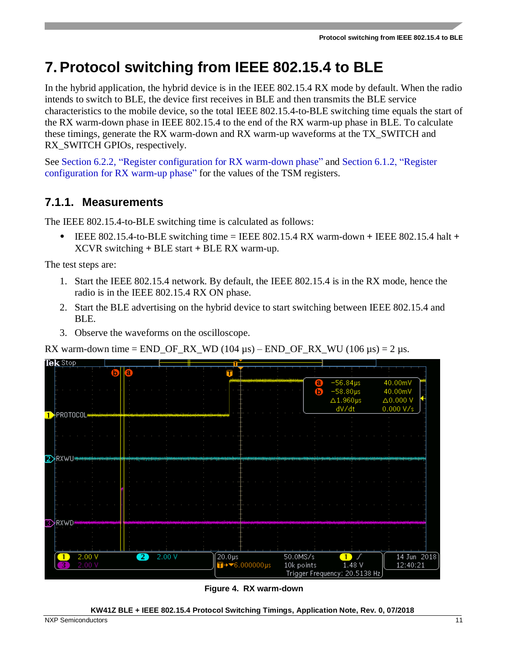## <span id="page-10-0"></span>**7.Protocol switching from IEEE 802.15.4 to BLE**

In the hybrid application, the hybrid device is in the IEEE 802.15.4 RX mode by default. When the radio intends to switch to BLE, the device first receives in BLE and then transmits the BLE service characteristics to the mobile device, so the total IEEE 802.15.4-to-BLE switching time equals the start of the RX warm-down phase in IEEE 802.15.4 to the end of the RX warm-up phase in BLE. To calculate these timings, generate the RX warm-down and RX warm-up waveforms at the TX\_SWITCH and RX\_SWITCH GPIOs, respectively.

See Section [6.2.2,](#page-9-1) ["Register configuration for RX warm-down phase"](#page-9-1) and Section [6.1.2,](#page-8-2) ["Register](#page-8-2)  [configuration for RX warm-up phase"](#page-8-2) for the values of the TSM registers.

### **7.1.1. Measurements**

The IEEE 802.15.4-to-BLE switching time is calculated as follows:

• IEEE 802.15.4-to-BLE switching time = IEEE 802.15.4 RX warm-down **+** IEEE 802.15.4 halt **+** XCVR switching **+** BLE start **+** BLE RX warm-up.

The test steps are:

- 1. Start the IEEE 802.15.4 network. By default, the IEEE 802.15.4 is in the RX mode, hence the radio is in the IEEE 802.15.4 RX ON phase.
- 2. Start the BLE advertising on the hybrid device to start switching between IEEE 802.15.4 and BLE.
- 3. Observe the waveforms on the oscilloscope.

RX warm-down time =  $END\_OF_RX_WD$  (104  $\mu$ s) –  $END_OF_RX_WW$  (106  $\mu$ s) = 2  $\mu$ s.



**Figure 4. RX warm-down**

**KW41Z BLE + IEEE 802.15.4 Protocol Switching Timings, Application Note, Rev. 0, 07/2018**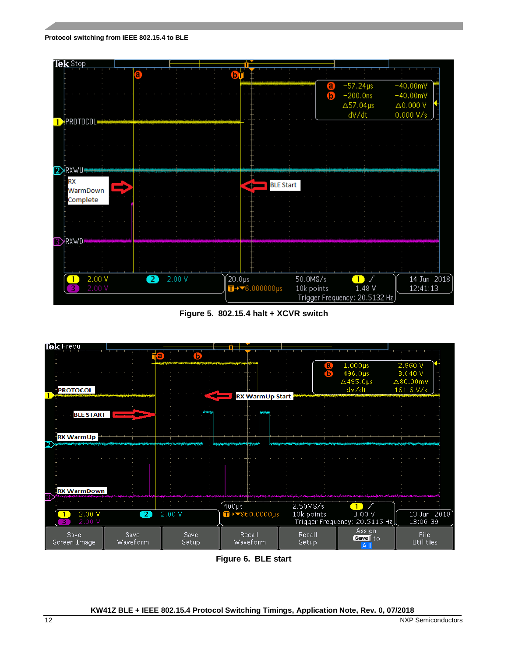



**Figure 5. 802.15.4 halt + XCVR switch**



**Figure 6. BLE start**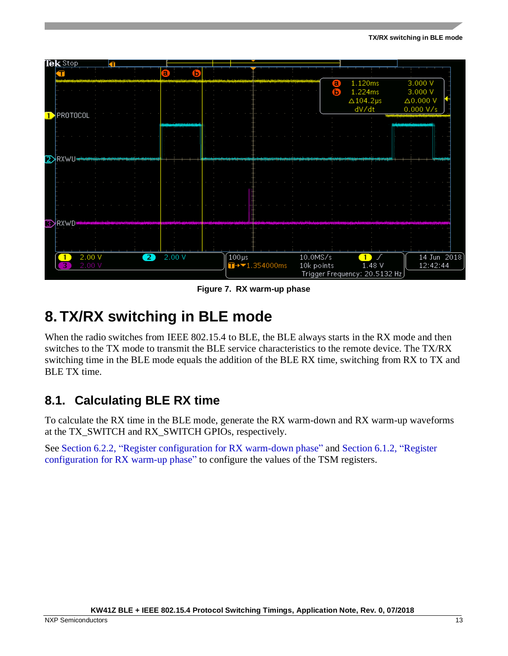

**Figure 7. RX warm-up phase**

## <span id="page-12-0"></span>**8. TX/RX switching in BLE mode**

When the radio switches from IEEE 802.15.4 to BLE, the BLE always starts in the RX mode and then switches to the TX mode to transmit the BLE service characteristics to the remote device. The TX/RX switching time in the BLE mode equals the addition of the BLE RX time, switching from RX to TX and BLE TX time.

### <span id="page-12-1"></span>**8.1. Calculating BLE RX time**

To calculate the RX time in the BLE mode, generate the RX warm-down and RX warm-up waveforms at the TX\_SWITCH and RX\_SWITCH GPIOs, respectively.

See Section [6.2.2,](#page-9-1) ["Register configuration for RX warm-down phase"](#page-9-1) and Section [6.1.2,](#page-8-2) ["Register](#page-8-2)  [configuration for RX warm-up phase"](#page-8-2) to configure the values of the TSM registers.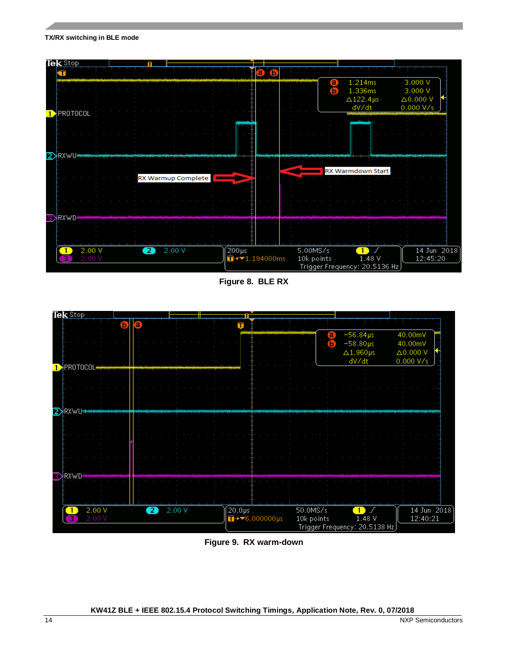#### **TX/RX switching in BLE mode**



**Figure 8. BLE RX**



**Figure 9. RX warm-down**

**KW41Z BLE + IEEE 802.15.4 Protocol Switching Timings, Application Note, Rev. 0, 07/2018**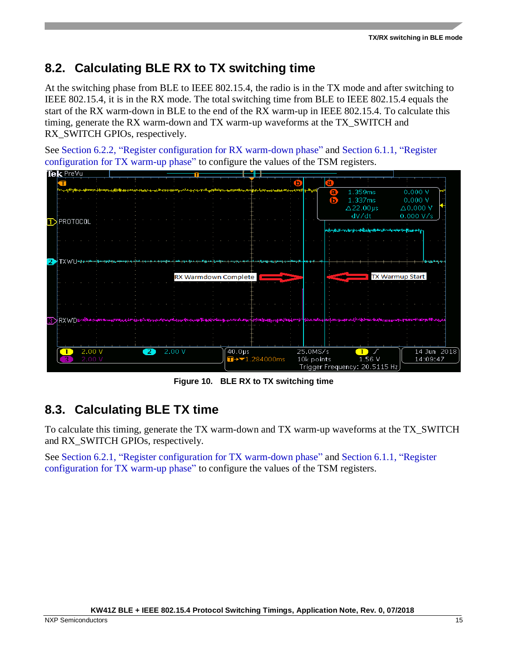## <span id="page-14-0"></span>**8.2. Calculating BLE RX to TX switching time**

At the switching phase from BLE to IEEE 802.15.4, the radio is in the TX mode and after switching to IEEE 802.15.4, it is in the RX mode. The total switching time from BLE to IEEE 802.15.4 equals the start of the RX warm-down in BLE to the end of the RX warm-up in IEEE 802.15.4. To calculate this timing, generate the RX warm-down and TX warm-up waveforms at the TX\_SWITCH and RX\_SWITCH GPIOs, respectively.

See Section [6.2.2,](#page-9-1) ["Register configuration for RX warm-down phase"](#page-9-1) and Section [6.1.1,](#page-8-1) ["Register](#page-8-1)  [configuration for TX warm-up phase"](#page-8-1) to configure the values of the TSM registers.



**Figure 10. BLE RX to TX switching time**

### <span id="page-14-1"></span>**8.3. Calculating BLE TX time**

To calculate this timing, generate the TX warm-down and TX warm-up waveforms at the TX\_SWITCH and RX\_SWITCH GPIOs, respectively.

See Section [6.2.1,](#page-9-0) ["Register configuration for TX warm-down phase"](#page-9-0) and Section [6.1.1,](#page-8-1) ["Register](#page-8-1)  [configuration for TX warm-up phase"](#page-8-1) to configure the values of the TSM registers.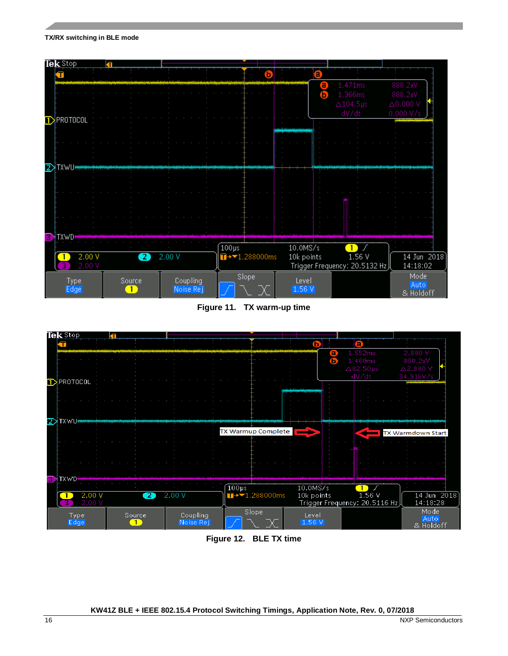#### **TX/RX switching in BLE mode**



**Figure 11. TX warm-up time**



**Figure 12. BLE TX time**

**KW41Z BLE + IEEE 802.15.4 Protocol Switching Timings, Application Note, Rev. 0, 07/2018**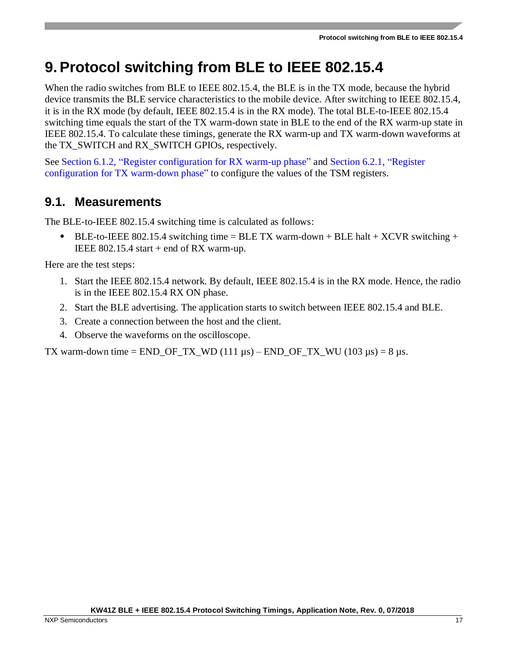## <span id="page-16-0"></span>**9.Protocol switching from BLE to IEEE 802.15.4**

When the radio switches from BLE to IEEE 802.15.4, the BLE is in the TX mode, because the hybrid device transmits the BLE service characteristics to the mobile device. After switching to IEEE 802.15.4, it is in the RX mode (by default, IEEE 802.15.4 is in the RX mode). The total BLE-to-IEEE 802.15.4 switching time equals the start of the TX warm-down state in BLE to the end of the RX warm-up state in IEEE 802.15.4. To calculate these timings, generate the RX warm-up and TX warm-down waveforms at the TX\_SWITCH and RX\_SWITCH GPIOs, respectively.

See Section [6.1.2,](#page-8-2) ["Register configuration for RX warm-up phase"](#page-8-2) and Section [6.2.1,](#page-9-0) ["Register](#page-9-0)  [configuration for TX warm-down phase"](#page-9-0) to configure the values of the TSM registers.

### <span id="page-16-1"></span>**9.1. Measurements**

The BLE-to-IEEE 802.15.4 switching time is calculated as follows:

BLE-to-IEEE 802.15.4 switching time = BLE TX warm-down + BLE halt +  $XCVR$  switching + IEEE 802.15.4 start  $+$  end of RX warm-up.

Here are the test steps:

- 1. Start the IEEE 802.15.4 network. By default, IEEE 802.15.4 is in the RX mode. Hence, the radio is in the IEEE 802.15.4 RX ON phase.
- 2. Start the BLE advertising. The application starts to switch between IEEE 802.15.4 and BLE.
- 3. Create a connection between the host and the client.
- 4. Observe the waveforms on the oscilloscope.

TX warm-down time = END\_OF\_TX\_WD (111 µs) – END\_OF\_TX\_WU (103 µs) = 8 µs.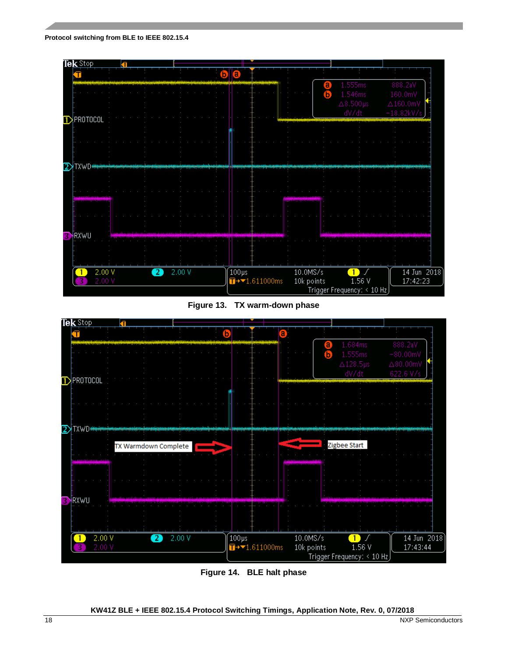#### **Protocol switching from BLE to IEEE 802.15.4**



**Figure 13. TX warm-down phase**



**Figure 14. BLE halt phase**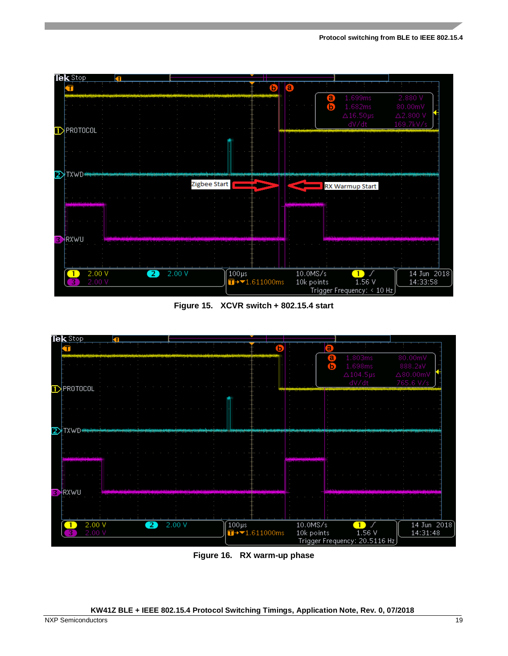

**Figure 15. XCVR switch + 802.15.4 start** 



**Figure 16. RX warm-up phase**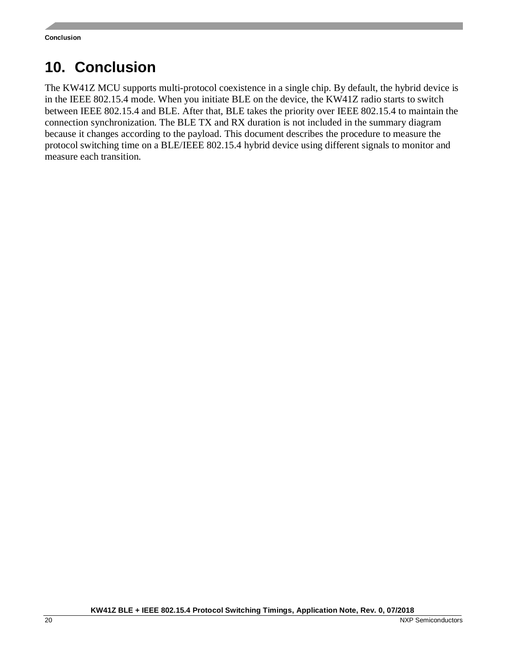## <span id="page-19-0"></span>**10. Conclusion**

The KW41Z MCU supports multi-protocol coexistence in a single chip. By default, the hybrid device is in the IEEE 802.15.4 mode. When you initiate BLE on the device, the KW41Z radio starts to switch between IEEE 802.15.4 and BLE. After that, BLE takes the priority over IEEE 802.15.4 to maintain the connection synchronization. The BLE TX and RX duration is not included in the summary diagram because it changes according to the payload. This document describes the procedure to measure the protocol switching time on a BLE/IEEE 802.15.4 hybrid device using different signals to monitor and measure each transition.